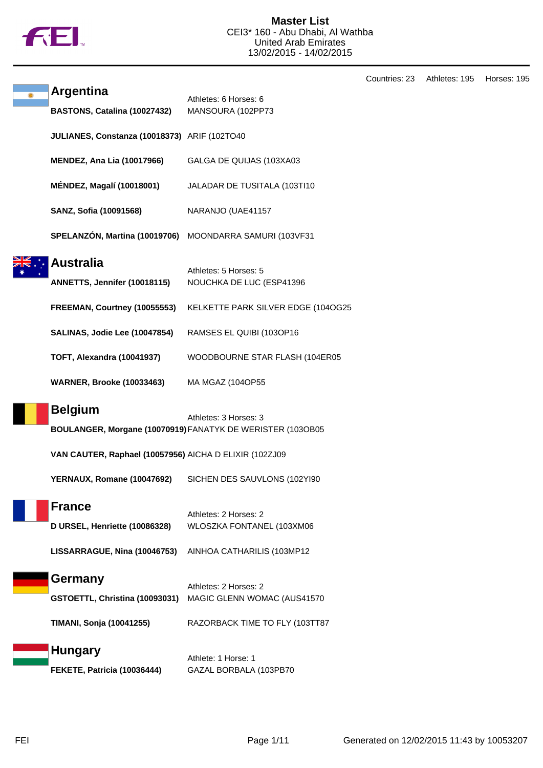

Countries: 23 Athletes: 195 Horses: 195

| <b>Argentina</b>                                       | Athletes: 6 Horses: 6                                                               |
|--------------------------------------------------------|-------------------------------------------------------------------------------------|
| BASTONS, Catalina (10027432)                           | MANSOURA (102PP73                                                                   |
| JULIANES, Constanza (10018373) ARIF (102TO40           |                                                                                     |
| <b>MENDEZ, Ana Lia (10017966)</b>                      | GALGA DE QUIJAS (103XA03                                                            |
| MÉNDEZ, Magalí (10018001)                              | JALADAR DE TUSITALA (103TI10                                                        |
| SANZ, Sofia (10091568)                                 | NARANJO (UAE41157                                                                   |
| SPELANZÓN, Martina (10019706)                          | MOONDARRA SAMURI (103VF31                                                           |
| <b>Australia</b><br>ANNETTS, Jennifer (10018115)       | Athletes: 5 Horses: 5<br>NOUCHKA DE LUC (ESP41396                                   |
| FREEMAN, Courtney (10055553)                           | KELKETTE PARK SILVER EDGE (104OG25                                                  |
| SALINAS, Jodie Lee (10047854)                          | RAMSES EL QUIBI (103OP16                                                            |
| <b>TOFT, Alexandra (10041937)</b>                      | WOODBOURNE STAR FLASH (104ER05                                                      |
| <b>WARNER, Brooke (10033463)</b>                       | MA MGAZ (104OP55                                                                    |
| <b>Belgium</b>                                         | Athletes: 3 Horses: 3<br>BOULANGER, Morgane (10070919) FANATYK DE WERISTER (103OB05 |
| VAN CAUTER, Raphael (10057956) AICHA D ELIXIR (102ZJ09 |                                                                                     |
| YERNAUX, Romane (10047692)                             | SICHEN DES SAUVLONS (102YI90                                                        |
| <b>France</b><br>D URSEL, Henriette (10086328)         | Athletes: 2 Horses: 2<br>WLOSZKA FONTANEL (103XM06                                  |
| LISSARRAGUE, Nina (10046753)                           | AINHOA CATHARILIS (103MP12                                                          |
| Germany                                                | Athletes: 2 Horses: 2                                                               |
| GSTOETTL, Christina (10093031)                         | MAGIC GLENN WOMAC (AUS41570                                                         |
| TIMANI, Sonja (10041255)                               | RAZORBACK TIME TO FLY (103TT87                                                      |
| <b>Hungary</b>                                         | Athlete: 1 Horse: 1                                                                 |
| FEKETE, Patricia (10036444)                            | GAZAL BORBALA (103PB70                                                              |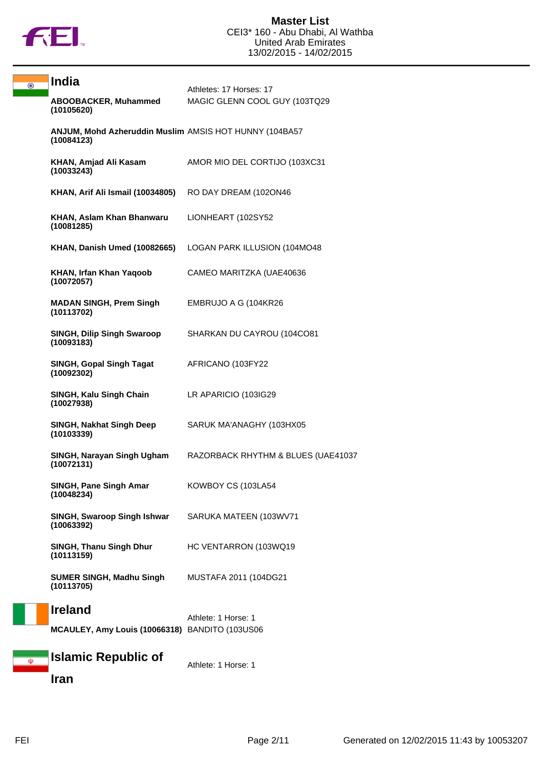

 $\overline{\odot}$ 

| <b>India</b>                                                         | Athletes: 17 Horses: 17            |
|----------------------------------------------------------------------|------------------------------------|
| ABOOBACKER, Muhammed<br>(10105620)                                   | MAGIC GLENN COOL GUY (103TQ29      |
| ANJUM, Mohd Azheruddin Muslim AMSIS HOT HUNNY (104BA57<br>(10084123) |                                    |
| KHAN, Amjad Ali Kasam<br>(10033243)                                  | AMOR MIO DEL CORTIJO (103XC31      |
| KHAN, Arif Ali Ismail (10034805)                                     | RO DAY DREAM (1020N46              |
| KHAN, Aslam Khan Bhanwaru<br>(10081285)                              | LIONHEART (102SY52                 |
| KHAN, Danish Umed (10082665)                                         | LOGAN PARK ILLUSION (104MO48       |
| KHAN, Irfan Khan Yaqoob<br>(10072057)                                | CAMEO MARITZKA (UAE40636           |
| <b>MADAN SINGH, Prem Singh</b><br>(10113702)                         | EMBRUJO A G (104KR26               |
| <b>SINGH, Dilip Singh Swaroop</b><br>(10093183)                      | SHARKAN DU CAYROU (104CO81         |
| <b>SINGH, Gopal Singh Tagat</b><br>(10092302)                        | AFRICANO (103FY22                  |
| SINGH, Kalu Singh Chain<br>(10027938)                                | LR APARICIO (103IG29               |
| SINGH, Nakhat Singh Deep<br>(10103339)                               | SARUK MA'ANAGHY (103HX05           |
| SINGH, Narayan Singh Ugham<br>(10072131)                             | RAZORBACK RHYTHM & BLUES (UAE41037 |
| SINGH, Pane Singh Amar<br>(10048234)                                 | KOWBOY CS (103LA54                 |
| SINGH, Swaroop Singh Ishwar<br>(10063392)                            | SARUKA MATEEN (103WV71             |
| <b>SINGH, Thanu Singh Dhur</b><br>(10113159)                         | HC VENTARRON (103WQ19              |
| <b>SUMER SINGH, Madhu Singh</b><br>(10113705)                        | MUSTAFA 2011 (104DG21              |
| <b>Ireland</b>                                                       | Athlete: 1 Horse: 1                |
| MCAULEY, Amy Louis (10066318) BANDITO (103US06                       |                                    |
| Islamic Republic of                                                  | Athlete: 1 Horse: 1                |

**Iran**

 $\overline{\Phi}$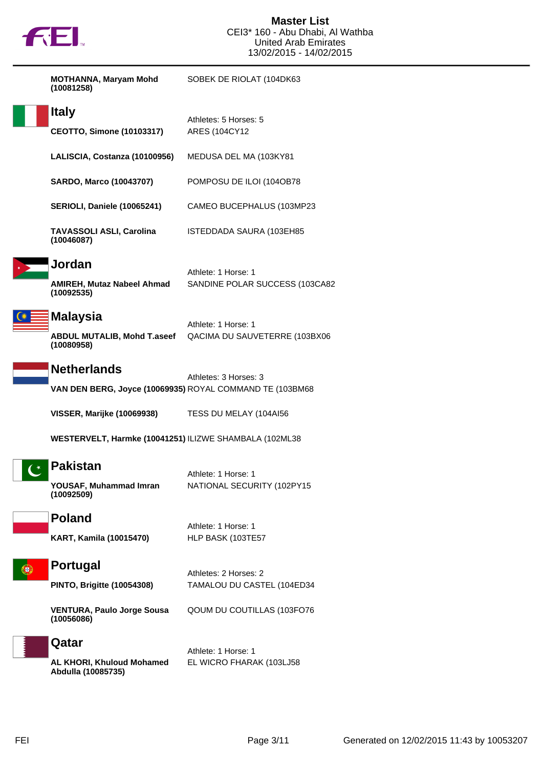

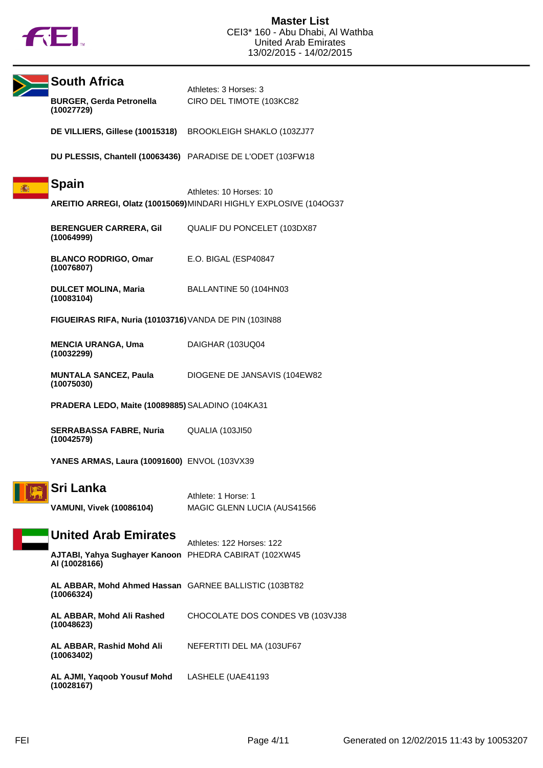

|                                                                    | <b>South Africa</b><br><b>BURGER, Gerda Petronella</b><br>(10027729)          | Athletes: 3 Horses: 3<br>CIRO DEL TIMOTE (103KC82 |
|--------------------------------------------------------------------|-------------------------------------------------------------------------------|---------------------------------------------------|
|                                                                    | DE VILLIERS, Gillese (10015318)                                               | BROOKLEIGH SHAKLO (103ZJ77                        |
|                                                                    | DU PLESSIS, Chantell (10063436) PARADISE DE L'ODET (103FW18                   |                                                   |
|                                                                    |                                                                               |                                                   |
| 瀛                                                                  | <b>Spain</b>                                                                  | Athletes: 10 Horses: 10                           |
| AREITIO ARREGI, Olatz (10015069) MINDARI HIGHLY EXPLOSIVE (104OG37 |                                                                               |                                                   |
|                                                                    | <b>BERENGUER CARRERA, Gil</b><br>(10064999)                                   | QUALIF DU PONCELET (103DX87                       |
|                                                                    | <b>BLANCO RODRIGO, Omar</b><br>(10076807)                                     | E.O. BIGAL (ESP40847                              |
|                                                                    | <b>DULCET MOLINA, Maria</b><br>(10083104)                                     | BALLANTINE 50 (104HN03                            |
| FIGUEIRAS RIFA, Nuria (10103716) VANDA DE PIN (103IN88             |                                                                               |                                                   |
|                                                                    | <b>MENCIA URANGA, Uma</b><br>(10032299)                                       | DAIGHAR (103UQ04                                  |
|                                                                    | <b>MUNTALA SANCEZ, Paula</b><br>(10075030)                                    | DIOGENE DE JANSAVIS (104EW82                      |
|                                                                    | PRADERA LEDO, Maite (10089885) SALADINO (104KA31                              |                                                   |
|                                                                    | <b>SERRABASSA FABRE, Nuria</b><br>(10042579)                                  | QUALIA (103JI50                                   |
|                                                                    | YANES ARMAS, Laura (10091600) ENVOL (103VX39                                  |                                                   |
|                                                                    | Sri Lanka                                                                     | Athlete: 1 Horse: 1                               |
|                                                                    | <b>VAMUNI, Vivek (10086104)</b>                                               | MAGIC GLENN LUCIA (AUS41566                       |
|                                                                    | <b>United Arab Emirates</b>                                                   |                                                   |
|                                                                    | <b>AJTABI, Yahya Sughayer Kanoon</b> PHEDRA CABIRAT (102XW45<br>AI (10028166) | Athletes: 122 Horses: 122                         |
|                                                                    | AL ABBAR, Mohd Ahmed Hassan GARNEE BALLISTIC (103BT82<br>(10066324)           |                                                   |
|                                                                    | AL ABBAR, Mohd Ali Rashed<br>(10048623)                                       | CHOCOLATE DOS CONDES VB (103VJ38                  |
|                                                                    | AL ABBAR, Rashid Mohd Ali<br>(10063402)                                       | NEFERTITI DEL MA (103UF67                         |
|                                                                    | AL AJMI, Yaqoob Yousuf Mohd<br>(10028167)                                     | LASHELE (UAE41193                                 |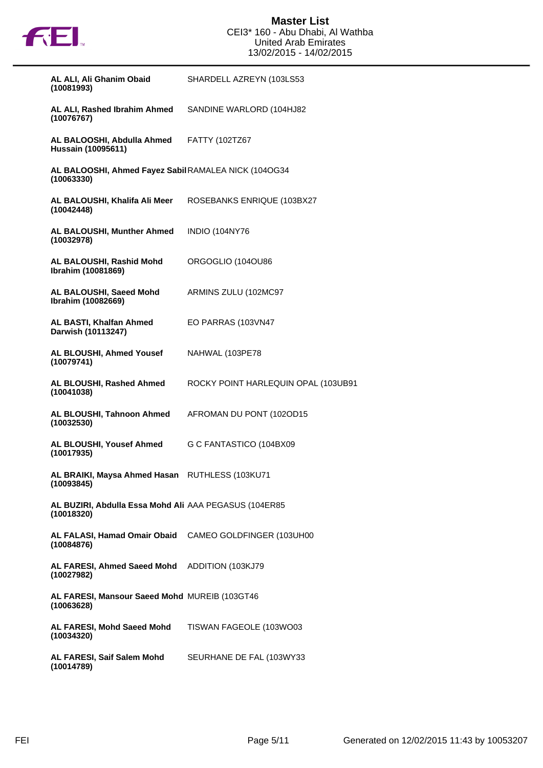

| AL ALI, Ali Ghanim Obaid<br>(10081993)                               | SHARDELL AZREYN (103LS53            |
|----------------------------------------------------------------------|-------------------------------------|
| AL ALI, Rashed Ibrahim Ahmed<br>(10076767)                           | SANDINE WARLORD (104HJ82            |
| AL BALOOSHI, Abdulla Ahmed<br><b>Hussain (10095611)</b>              | FATTY (102TZ67                      |
| AL BALOOSHI, Ahmed Fayez Sabil RAMALEA NICK (104OG34<br>(10063330)   |                                     |
| AL BALOUSHI, Khalifa Ali Meer<br>(10042448)                          | ROSEBANKS ENRIQUE (103BX27          |
| AL BALOUSHI, Munther Ahmed<br>(10032978)                             | <b>INDIO (104NY76</b>               |
| AL BALOUSHI, Rashid Mohd<br>Ibrahim (10081869)                       | ORGOGLIO (104OU86                   |
| AL BALOUSHI, Saeed Mohd<br>Ibrahim (10082669)                        | ARMINS ZULU (102MC97                |
| AL BASTI, Khalfan Ahmed<br>Darwish (10113247)                        | EO PARRAS (103VN47                  |
| AL BLOUSHI, Ahmed Yousef<br>(10079741)                               | NAHWAL (103PE78                     |
| AL BLOUSHI, Rashed Ahmed<br>(10041038)                               | ROCKY POINT HARLEQUIN OPAL (103UB91 |
| AL BLOUSHI, Tahnoon Ahmed<br>(10032530)                              | AFROMAN DU PONT (102OD15            |
| AL BLOUSHI, Yousef Ahmed<br>(10017935)                               | G C FANTASTICO (104BX09             |
| AL BRAIKI, Maysa Ahmed Hasan<br>(10093845)                           | RUTHLESS (103KU71                   |
| AL BUZIRI, Abdulla Essa Mohd Ali AAA PEGASUS (104ER85<br>(10018320)  |                                     |
| AL FALASI, Hamad Omair Obaid CAMEO GOLDFINGER (103UH00<br>(10084876) |                                     |
| AL FARESI, Ahmed Saeed Mohd ADDITION (103KJ79<br>(10027982)          |                                     |
| AL FARESI, Mansour Saeed Mohd MUREIB (103GT46<br>(10063628)          |                                     |
| AL FARESI, Mohd Saeed Mohd<br>(10034320)                             | TISWAN FAGEOLE (103WO03             |
| AL FARESI, Saif Salem Mohd<br>(10014789)                             | SEURHANE DE FAL (103WY33)           |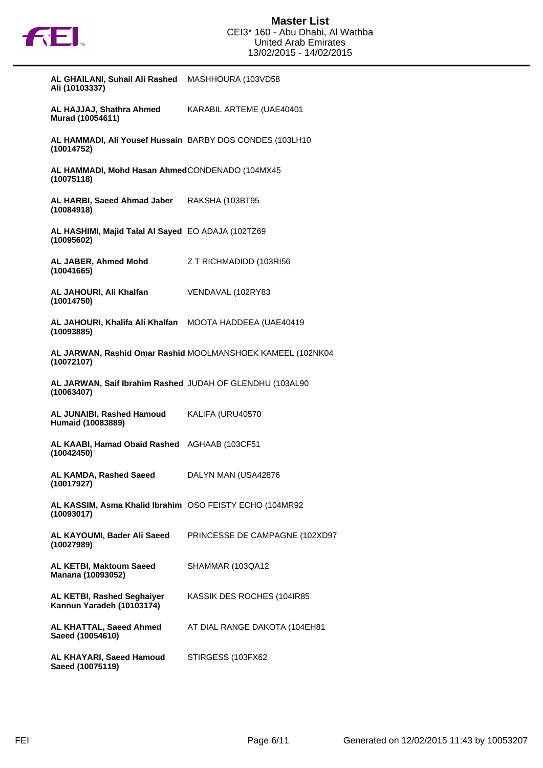

| AL GHAILANI, Suhail Ali Rashed | MASHHOURA (103VD58 |
|--------------------------------|--------------------|
| Ali (10103337)                 |                    |

**AL HAJJAJ, Shathra Ahmed Murad (10054611)** KARABIL ARTEME (UAE40401

**AL HAMMADI, Ali Yousef Hussain** BARBY DOS CONDES (103LH10 **(10014752)**

**AL HAMMADI, Mohd Hasan Ahmed** CONDENADO (104MX45 **(10075118)**

**AL HARBI, Saeed Ahmad Jaber (10084918)** RAKSHA (103BT95

**AL HASHIMI, Majid Talal Al Sayed** EO ADAJA (102TZ69 **(10095602)**

**AL JABER, Ahmed Mohd (10041665)** Z T RICHMADIDD (103RI56

**AL JAHOURI, Ali Khalfan (10014750)** VENDAVAL (102RY83

**AL JAHOURI, Khalifa Ali Khalfan** MOOTA HADDEEA (UAE40419 **(10093885)**

**AL JARWAN, Rashid Omar Rashid** MOOLMANSHOEK KAMEEL (102NK04 **(10072107)**

**AL JARWAN, Saif Ibrahim Rashed** JUDAH OF GLENDHU (103AL90 **(10063407)**

**AL JUNAIBI, Rashed Hamoud Humaid (10083889)** KALIFA (URU40570

**AL KAABI, Hamad Obaid Rashed** AGHAAB (103CF51 **(10042450)**

**AL KAMDA, Rashed Saeed (10017927)** DALYN MAN (USA42876

**AL KASSIM, Asma Khalid Ibrahim** OSO FEISTY ECHO (104MR92 **(10093017)**

**AL KAYOUMI, Bader Ali Saeed (10027989)** PRINCESSE DE CAMPAGNE (102XD97

**AL KETBI, Maktoum Saeed Manana (10093052)** SHAMMAR (103QA12

**AL KETBI, Rashed Seghaiyer Kannun Yaradeh (10103174)** KASSIK DES ROCHES (104IR85

**AL KHATTAL, Saeed Ahmed Saeed (10054610)** AT DIAL RANGE DAKOTA (104EH81

**AL KHAYARI, Saeed Hamoud Saeed (10075119)** STIRGESS (103FX62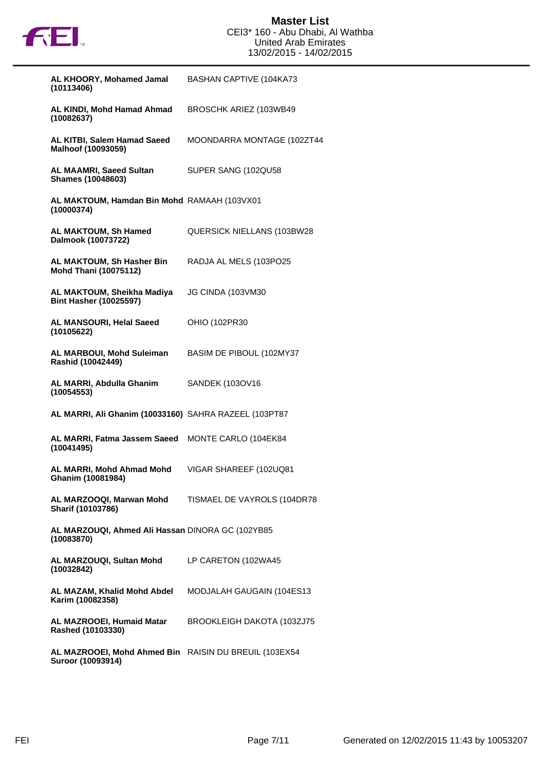

| AL KHOORY, Mohamed Jamal<br>(10113406)                                     | <b>BASHAN CAPTIVE (104KA73</b>     |
|----------------------------------------------------------------------------|------------------------------------|
| AL KINDI, Mohd Hamad Ahmad<br>(10082637)                                   | BROSCHK ARIEZ (103WB49             |
| AL KITBI, Salem Hamad Saeed<br>Malhoof (10093059)                          | MOONDARRA MONTAGE (102ZT44         |
| <b>AL MAAMRI, Saeed Sultan</b><br><b>Shames (10048603)</b>                 | SUPER SANG (102QU58)               |
| AL MAKTOUM, Hamdan Bin Mohd RAMAAH (103VX01<br>(10000374)                  |                                    |
| AL MAKTOUM, Sh Hamed<br>Dalmook (10073722)                                 | <b>QUERSICK NIELLANS (103BW28)</b> |
| AL MAKTOUM, Sh Hasher Bin<br><b>Mohd Thani (10075112)</b>                  | RADJA AL MELS (103PO25             |
| AL MAKTOUM, Sheikha Madiya<br><b>Bint Hasher (10025597)</b>                | JG CINDA (103VM30                  |
| AL MANSOURI, Helal Saeed<br>(10105622)                                     | OHIO (102PR30                      |
| <b>AL MARBOUI, Mohd Suleiman</b><br>Rashid (10042449)                      | BASIM DE PIBOUL (102MY37           |
| AL MARRI, Abdulla Ghanim<br>(10054553)                                     | SANDEK (103OV16                    |
| AL MARRI, Ali Ghanim (10033160) SAHRA RAZEEL (103PT87                      |                                    |
| AL MARRI, Fatma Jassem Saeed<br>(10041495)                                 | MONTE CARLO (104EK84               |
| AL MARRI, Mohd Ahmad Mohd<br>Ghanim (10081984)                             | VIGAR SHAREEF (102UQ81             |
| AL MARZOOQI, Marwan Mohd<br>Sharif (10103786)                              | TISMAEL DE VAYROLS (104DR78        |
| AL MARZOUQI, Ahmed Ali Hassan DINORA GC (102YB85<br>(10083870)             |                                    |
| AL MARZOUQI, Sultan Mohd<br>(10032842)                                     | LP CARETON (102WA45                |
| AL MAZAM, Khalid Mohd Abdel<br>Karim (10082358)                            | MODJALAH GAUGAIN (104ES13          |
| AL MAZROOEI, Humaid Matar<br>Rashed (10103330)                             | BROOKLEIGH DAKOTA (103ZJ75         |
| AL MAZROOEI, Mohd Ahmed Bin RAISIN DU BREUIL (103EX54<br>Suroor (10093914) |                                    |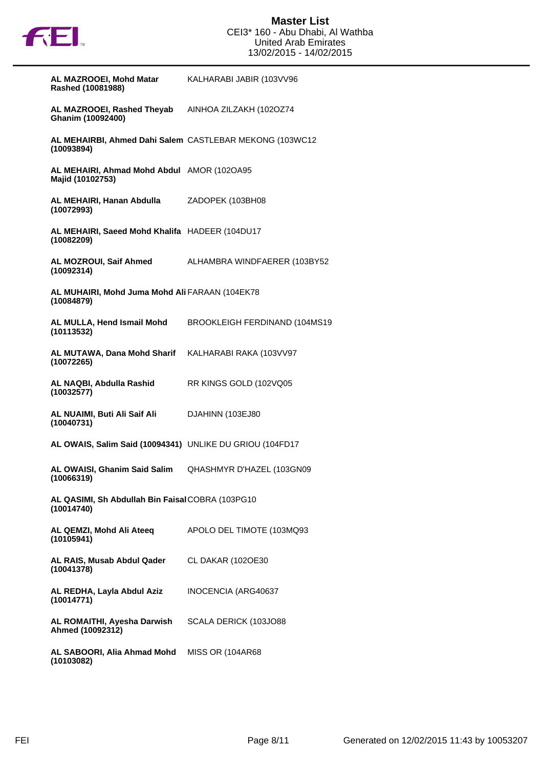

| AL MAZROOEI, Mohd Matar<br>Rashed (10081988)                          | KALHARABI JABIR (103VV96      |
|-----------------------------------------------------------------------|-------------------------------|
| AL MAZROOEI, Rashed Theyab<br>Ghanim (10092400)                       | AINHOA ZILZAKH (102OZ74       |
| AL MEHAIRBI, Ahmed Dahi Salem CASTLEBAR MEKONG (103WC12<br>(10093894) |                               |
| AL MEHAIRI, Ahmad Mohd Abdul AMOR (1020A95<br>Majid (10102753)        |                               |
| AL MEHAIRI, Hanan Abdulla<br>(10072993)                               | ZADOPEK (103BH08              |
| AL MEHAIRI, Saeed Mohd Khalifa HADEER (104DU17<br>(10082209)          |                               |
| AL MOZROUI, Saif Ahmed<br>(10092314)                                  | ALHAMBRA WINDFAERER (103BY52  |
| AL MUHAIRI, Mohd Juma Mohd Ali FARAAN (104EK78<br>(10084879)          |                               |
| AL MULLA, Hend Ismail Mohd<br>(10113532)                              | BROOKLEIGH FERDINAND (104MS19 |
| AL MUTAWA, Dana Mohd Sharif<br>(10072265)                             | KALHARABI RAKA (103VV97       |
| AL NAQBI, Abdulla Rashid<br>(10032577)                                | RR KINGS GOLD (102VQ05        |
| AL NUAIMI, Buti Ali Saif Ali<br>(10040731)                            | DJAHINN (103EJ80              |
| AL OWAIS, Salim Said (10094341) UNLIKE DU GRIOU (104FD17              |                               |
| AL OWAISI, Ghanim Said Salim<br>(10066319)                            | QHASHMYR D'HAZEL (103GN09     |
| AL QASIMI, Sh Abdullah Bin Faisal COBRA (103PG10<br>(10014740)        |                               |
| AL QEMZI, Mohd Ali Ateeq<br>(10105941)                                | APOLO DEL TIMOTE (103MQ93     |
| AL RAIS, Musab Abdul Qader<br>(10041378)                              | <b>CL DAKAR (1020E30</b>      |
| AL REDHA, Layla Abdul Aziz<br>(10014771)                              | INOCENCIA (ARG40637           |
| AL ROMAITHI, Ayesha Darwish<br>Ahmed (10092312)                       | SCALA DERICK (103JO88         |
| AL SABOORI, Alia Ahmad Mohd                                           | <b>MISS OR (104AR68</b>       |

**(10103082)**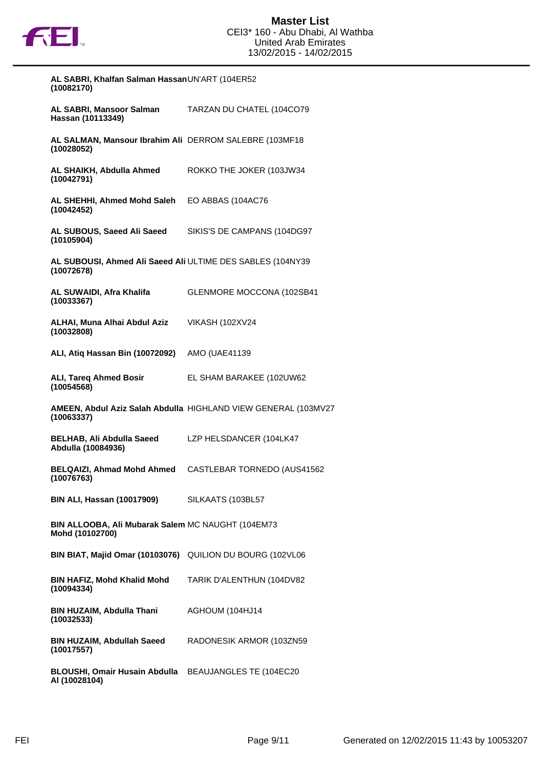

| AL SABRI, Khalfan Salman HassanUN'ART (104ER52<br>(10082170)             |                                                                |
|--------------------------------------------------------------------------|----------------------------------------------------------------|
| <b>AL SABRI, Mansoor Salman</b><br>Hassan (10113349)                     | TARZAN DU CHATEL (104CO79                                      |
| AL SALMAN, Mansour Ibrahim Ali DERROM SALEBRE (103MF18<br>(10028052)     |                                                                |
| AL SHAIKH, Abdulla Ahmed<br>(10042791)                                   | ROKKO THE JOKER (103JW34                                       |
| AL SHEHHI, Ahmed Mohd Saleh<br>(10042452)                                | EO ABBAS (104AC76                                              |
| AL SUBOUS, Saeed Ali Saeed<br>(10105904)                                 | SIKIS'S DE CAMPANS (104DG97                                    |
| AL SUBOUSI, Ahmed Ali Saeed Ali ULTIME DES SABLES (104NY39<br>(10072678) |                                                                |
| AL SUWAIDI, Afra Khalifa<br>(10033367)                                   | GLENMORE MOCCONA (102SB41                                      |
| ALHAI, Muna Alhai Abdul Aziz<br>(10032808)                               | <b>VIKASH (102XV24</b>                                         |
| ALI, Atiq Hassan Bin (10072092)                                          | AMO (UAE41139                                                  |
| <b>ALI, Tareq Ahmed Bosir</b><br>(10054568)                              | EL SHAM BARAKEE (102UW62)                                      |
| (10063337)                                                               | AMEEN, Abdul Aziz Salah Abdulla HIGHLAND VIEW GENERAL (103MV27 |
| <b>BELHAB, Ali Abdulla Saeed</b><br>Abdulla (10084936)                   | LZP HELSDANCER (104LK47                                        |
| <b>BELQAIZI, Ahmad Mohd Ahmed</b><br>(10076763)                          | CASTLEBAR TORNEDO (AUS41562                                    |
| BIN ALI, Hassan (10017909)                                               | SILKAATS (103BL57                                              |
| BIN ALLOOBA, Ali Mubarak Salem MC NAUGHT (104EM73<br>Mohd (10102700)     |                                                                |
| BIN BIAT, Majid Omar (10103076) QUILION DU BOURG (102VL06                |                                                                |
| <b>BIN HAFIZ, Mohd Khalid Mohd</b><br>(10094334)                         | TARIK D'ALENTHUN (104DV82                                      |
| BIN HUZAIM, Abdulla Thani<br>(10032533)                                  | AGHOUM (104HJ14                                                |
| <b>BIN HUZAIM, Abdullah Saeed</b><br>(10017557)                          | RADONESIK ARMOR (103ZN59                                       |
| BLOUSHI, Omair Husain Abdulla BEAUJANGLES TE (104EC20<br>AI (10028104)   |                                                                |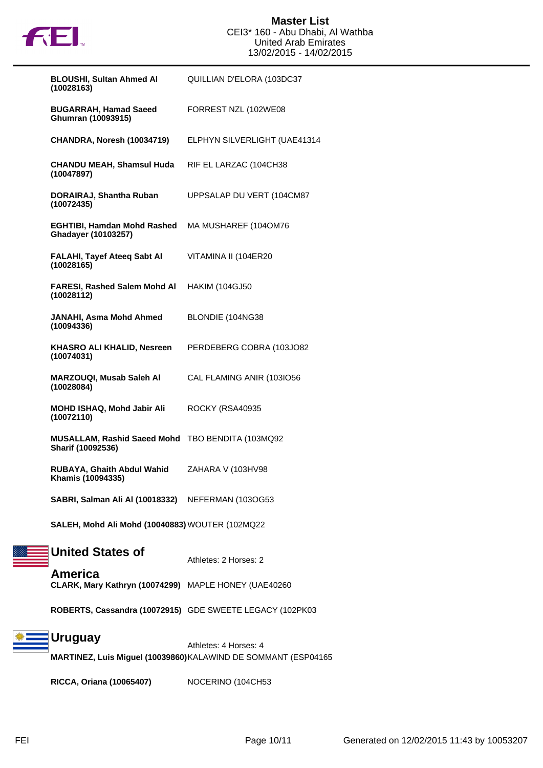

| <b>BLOUSHI, Sultan Ahmed AI</b><br>(10028163)                         | QUILLIAN D'ELORA (103DC37    |
|-----------------------------------------------------------------------|------------------------------|
| <b>BUGARRAH, Hamad Saeed</b><br>Ghumran (10093915)                    | FORREST NZL (102WE08         |
| CHANDRA, Noresh (10034719)                                            | ELPHYN SILVERLIGHT (UAE41314 |
| <b>CHANDU MEAH, Shamsul Huda</b><br>(10047897)                        | RIF EL LARZAC (104CH38       |
| DORAIRAJ, Shantha Ruban<br>(10072435)                                 | UPPSALAP DU VERT (104CM87    |
| <b>EGHTIBI, Hamdan Mohd Rashed</b><br>Ghadayer (10103257)             | MA MUSHAREF (104OM76         |
| FALAHI, Tayef Ateeq Sabt Al<br>(10028165)                             | VITAMINA II (104ER20         |
| <b>FARESI, Rashed Salem Mohd AI</b><br>(10028112)                     | <b>HAKIM (104GJ50</b>        |
| JANAHI, Asma Mohd Ahmed<br>(10094336)                                 | BLONDIE (104NG38             |
| <b>KHASRO ALI KHALID, Nesreen</b><br>(10074031)                       | PERDEBERG COBRA (103JO82)    |
| MARZOUQI, Musab Saleh Al<br>(10028084)                                | CAL FLAMING ANIR (103IO56    |
| MOHD ISHAQ, Mohd Jabir Ali<br>(10072110)                              | ROCKY (RSA40935              |
| MUSALLAM, Rashid Saeed Mohd TBO BENDITA (103MQ92<br>Sharif (10092536) |                              |
| <b>RUBAYA, Ghaith Abdul Wahid</b><br>Khamis (10094335)                | ZAHARA V (103HV98            |
| SABRI, Salman Ali Al (10018332) NEFERMAN (103OG53                     |                              |
| SALEH, Mohd Ali Mohd (10040883) WOUTER (102MQ22                       |                              |
| <b>United States of</b>                                               | Athletes: 2 Horses: 2        |
| America<br>CLARK, Mary Kathryn (10074299) MAPLE HONEY (UAE40260       |                              |
| ROBERTS, Cassandra (10072915) GDE SWEETE LEGACY (102PK03              |                              |
|                                                                       |                              |

**Uruguay** Athletes: 4 Horses: 4 **MARTINEZ, Luis Miguel (10039860)**KALAWIND DE SOMMANT (ESP04165

**RICCA, Oriana (10065407)** NOCERINO (104CH53